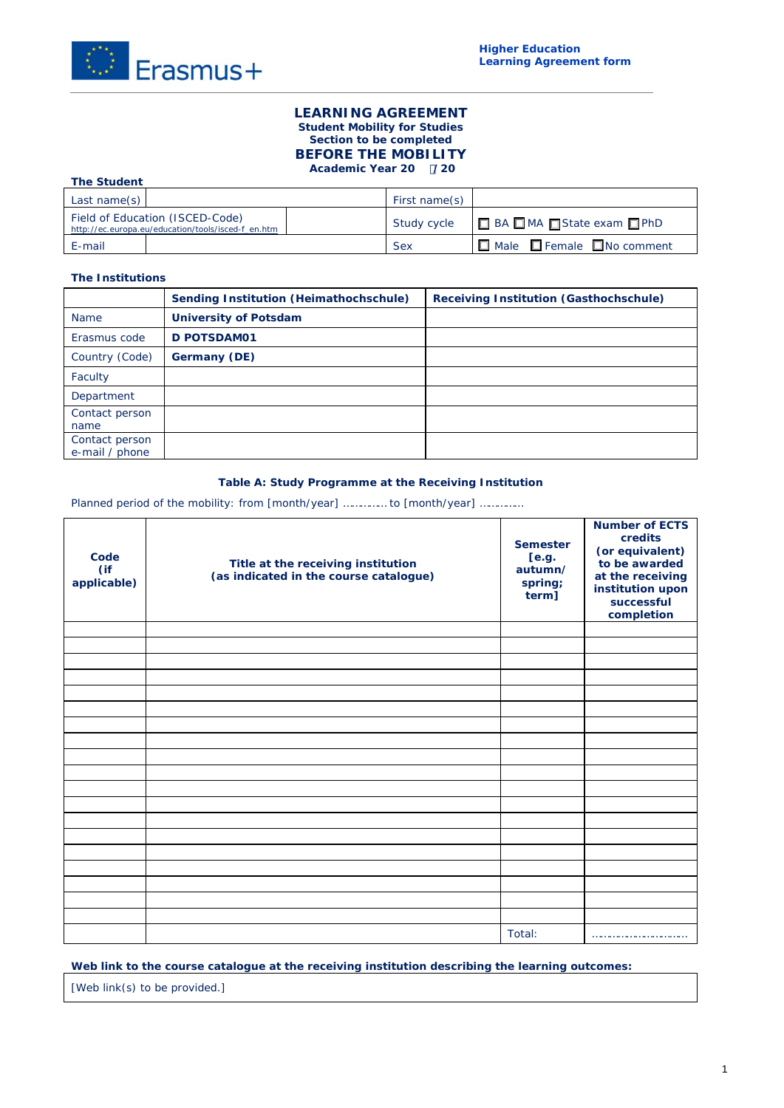

## **LEARNING AGREEMENT Student Mobility for Studies Section to be completed BEFORE THE MOBILITY Academic Year 20 /20**

| <b>The Student</b>                                                                    |               |                                             |  |
|---------------------------------------------------------------------------------------|---------------|---------------------------------------------|--|
| Last name(s) $\vert$                                                                  | First name(s) |                                             |  |
| Field of Education (ISCED-Code)<br>http://ec.europa.eu/education/tools/isced-f_en.htm | Study cycle   | □ BA □ MA □ State exam □ PhD                |  |
| E-mail                                                                                | <b>Sex</b>    | $\Box$ Male $\Box$ Female $\Box$ No comment |  |

## **The Institutions**

|                                  | Sending Institution (Heimathochschule) | <b>Receiving Institution (Gasthochschule)</b> |
|----------------------------------|----------------------------------------|-----------------------------------------------|
| <b>Name</b>                      | <b>University of Potsdam</b>           |                                               |
| Erasmus code                     | D POTSDAM01                            |                                               |
| Country (Code)                   | Germany (DE)                           |                                               |
| Faculty                          |                                        |                                               |
| Department                       |                                        |                                               |
| Contact person<br>name           |                                        |                                               |
| Contact person<br>e-mail / phone |                                        |                                               |

# **Table A: Study Programme at the Receiving Institution**

Planned period of the mobility: from [month/year] ............... to [month/year] ...............

| Code<br>(if<br>applicable) | Title at the receiving institution<br>(as indicated in the course catalogue) | <b>Semester</b><br>[e.g.<br>autumn/<br>spring;<br>term] | <b>Number of ECTS</b><br>credits<br>(or equivalent)<br>to be awarded<br>at the receiving<br>institution upon<br>successful<br>completion |
|----------------------------|------------------------------------------------------------------------------|---------------------------------------------------------|------------------------------------------------------------------------------------------------------------------------------------------|
|                            |                                                                              |                                                         |                                                                                                                                          |
|                            |                                                                              |                                                         |                                                                                                                                          |
|                            |                                                                              |                                                         |                                                                                                                                          |
|                            |                                                                              |                                                         |                                                                                                                                          |
|                            |                                                                              |                                                         |                                                                                                                                          |
|                            |                                                                              |                                                         |                                                                                                                                          |
|                            |                                                                              |                                                         |                                                                                                                                          |
|                            |                                                                              |                                                         |                                                                                                                                          |
|                            |                                                                              |                                                         |                                                                                                                                          |
|                            |                                                                              |                                                         |                                                                                                                                          |
|                            |                                                                              |                                                         |                                                                                                                                          |
|                            |                                                                              |                                                         |                                                                                                                                          |
|                            |                                                                              |                                                         |                                                                                                                                          |
|                            |                                                                              |                                                         |                                                                                                                                          |
|                            |                                                                              |                                                         |                                                                                                                                          |
|                            |                                                                              |                                                         |                                                                                                                                          |
|                            |                                                                              |                                                         |                                                                                                                                          |
|                            |                                                                              |                                                         |                                                                                                                                          |
|                            |                                                                              |                                                         |                                                                                                                                          |
|                            |                                                                              | Total:                                                  |                                                                                                                                          |

### **Web link to the course catalogue at the receiving institution describing the learning outcomes:**

*[Web link(s) to be provided.]*